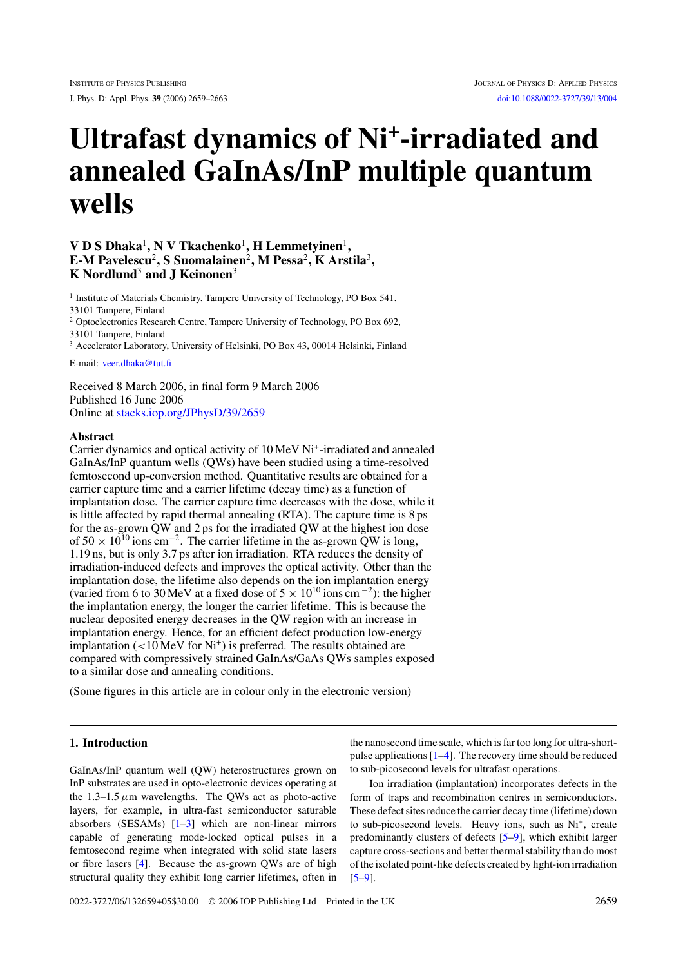J. Phys. D: Appl. Phys. **39** (2006) 2659–2663 [doi:10.1088/0022-3727/39/13/004](http://dx.doi.org/10.1088/0022-3727/39/13/004)

# **Ultrafast dynamics of Ni+-irradiated and annealed GaInAs/InP multiple quantum wells**

# **V D S Dhaka**<sup>1</sup>**, N V Tkachenko**<sup>1</sup>**, H Lemmetyinen**<sup>1</sup>**, E-M Pavelescu**<sup>2</sup>**, S Suomalainen**<sup>2</sup>**, M Pessa**<sup>2</sup>**, K Arstila**<sup>3</sup>**, K Nordlund**<sup>3</sup> **and J Keinonen**<sup>3</sup>

<sup>1</sup> Institute of Materials Chemistry, Tampere University of Technology, PO Box 541, 33101 Tampere, Finland <sup>2</sup> Optoelectronics Research Centre, Tampere University of Technology, PO Box 692, 33101 Tampere, Finland

<sup>3</sup> Accelerator Laboratory, University of Helsinki, PO Box 43, 00014 Helsinki, Finland

E-mail: [veer.dhaka@tut.fi](mailto: veer.dhaka@tut.fi)

Received 8 March 2006, in final form 9 March 2006 Published 16 June 2006 Online at [stacks.iop.org/JPhysD/39/2659](http://stacks.iop.org/JPhysD/39/2659)

# **Abstract**

Carrier dynamics and optical activity of 10 MeV Ni<sup>+</sup>-irradiated and annealed GaInAs/InP quantum wells (QWs) have been studied using a time-resolved femtosecond up-conversion method. Quantitative results are obtained for a carrier capture time and a carrier lifetime (decay time) as a function of implantation dose. The carrier capture time decreases with the dose, while it is little affected by rapid thermal annealing (RTA). The capture time is 8 ps for the as-grown QW and 2 ps for the irradiated QW at the highest ion dose of  $50 \times 10^{10}$  ions cm<sup>-2</sup>. The carrier lifetime in the as-grown QW is long, 1.19 ns, but is only 3.7 ps after ion irradiation. RTA reduces the density of irradiation-induced defects and improves the optical activity. Other than the implantation dose, the lifetime also depends on the ion implantation energy (varied from 6 to 30 MeV at a fixed dose of  $5 \times 10^{10}$  ions cm<sup>-2</sup>): the higher the implantation energy, the longer the carrier lifetime. This is because the nuclear deposited energy decreases in the QW region with an increase in implantation energy. Hence, for an efficient defect production low-energy implantation (<10 MeV for Ni<sup>+</sup>) is preferred. The results obtained are compared with compressively strained GaInAs/GaAs QWs samples exposed to a similar dose and annealing conditions.

(Some figures in this article are in colour only in the electronic version)

# **1. Introduction**

GaInAs/InP quantum well (QW) heterostructures grown on InP substrates are used in opto-electronic devices operating at the  $1.3-1.5 \mu m$  wavelengths. The QWs act as photo-active layers, for example, in ultra-fast semiconductor saturable absorbers (SESAMs)  $[1-3]$  which are non-linear mirrors capable of generating mode-locked optical pulses in a femtosecond regime when integrated with solid state lasers or fibre lasers [\[4\]](#page-3-0). Because the as-grown QWs are of high structural quality they exhibit long carrier lifetimes, often in

the nanosecond time scale, which is far too long for ultra-shortpulse applications [\[1–4\]](#page-3-0). The recovery time should be reduced to sub-picosecond levels for ultrafast operations.

Ion irradiation (implantation) incorporates defects in the form of traps and recombination centres in semiconductors. These defect sites reduce the carrier decay time (lifetime) down to sub-picosecond levels. Heavy ions, such as Ni<sup>+</sup>, create predominantly clusters of defects [\[5–9\]](#page-3-0), which exhibit larger capture cross-sections and better thermal stability than do most of the isolated point-like defects created by light-ion irradiation [\[5–9\]](#page-3-0).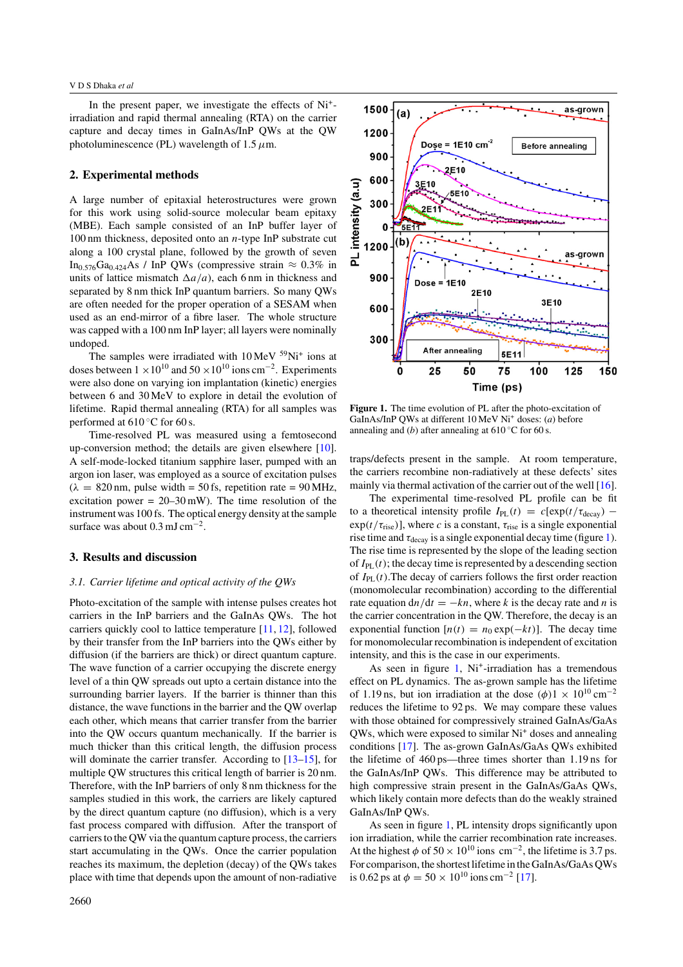## V D S Dhaka *et al*

In the present paper, we investigate the effects of Ni+ irradiation and rapid thermal annealing (RTA) on the carrier capture and decay times in GaInAs/InP QWs at the QW photoluminescence (PL) wavelength of  $1.5 \mu$ m.

## **2. Experimental methods**

A large number of epitaxial heterostructures were grown for this work using solid-source molecular beam epitaxy (MBE). Each sample consisted of an InP buffer layer of 100 nm thickness, deposited onto an *n*-type InP substrate cut along a 100 crystal plane, followed by the growth of seven In<sub>0</sub> $576Ga<sub>0.424</sub>As / InP QWs (compressive strain  $\approx 0.3\%$  in$ units of lattice mismatch  $\Delta a/a$ , each 6 nm in thickness and separated by 8 nm thick InP quantum barriers. So many QWs are often needed for the proper operation of a SESAM when used as an end-mirror of a fibre laser. The whole structure was capped with a 100 nm InP layer; all layers were nominally undoped.

The samples were irradiated with  $10 \text{ MeV}$  <sup>59</sup>Ni<sup>+</sup> ions at doses between  $1 \times 10^{10}$  and  $50 \times 10^{10}$  ions cm<sup>-2</sup>. Experiments were also done on varying ion implantation (kinetic) energies between 6 and 30 MeV to explore in detail the evolution of lifetime. Rapid thermal annealing (RTA) for all samples was performed at  $610\degree$ C for 60 s.

Time-resolved PL was measured using a femtosecond up-conversion method; the details are given elsewhere [\[10\]](#page-3-0). A self-mode-locked titanium sapphire laser, pumped with an argon ion laser, was employed as a source of excitation pulses  $(\lambda = 820 \text{ nm}, \text{ pulse width} = 50 \text{ fs}, \text{ repetition rate} = 90 \text{ MHz},$ excitation power =  $20-30$  mW). The time resolution of the instrument was 100 fs. The optical energy density at the sample surface was about 0.3 mJ cm<sup>-2</sup>.

## **3. Results and discussion**

# *3.1. Carrier lifetime and optical activity of the QWs*

Photo-excitation of the sample with intense pulses creates hot carriers in the InP barriers and the GaInAs QWs. The hot carriers quickly cool to lattice temperature [\[11,](#page-3-0) [12\]](#page-3-0), followed by their transfer from the InP barriers into the QWs either by diffusion (if the barriers are thick) or direct quantum capture. The wave function of a carrier occupying the discrete energy level of a thin QW spreads out upto a certain distance into the surrounding barrier layers. If the barrier is thinner than this distance, the wave functions in the barrier and the QW overlap each other, which means that carrier transfer from the barrier into the QW occurs quantum mechanically. If the barrier is much thicker than this critical length, the diffusion process will dominate the carrier transfer. According to [\[13–15\]](#page-3-0), for multiple QW structures this critical length of barrier is 20 nm. Therefore, with the InP barriers of only 8 nm thickness for the samples studied in this work, the carriers are likely captured by the direct quantum capture (no diffusion), which is a very fast process compared with diffusion. After the transport of carriers to the QW via the quantum capture process, the carriers start accumulating in the QWs. Once the carrier population reaches its maximum, the depletion (decay) of the QWs takes place with time that depends upon the amount of non-radiative



**Figure 1.** The time evolution of PL after the photo-excitation of GaInAs/InP QWs at different 10 MeV Ni+ doses: (*a*) before annealing and  $(b)$  after annealing at 610 °C for 60 s.

traps/defects present in the sample. At room temperature, the carriers recombine non-radiatively at these defects' sites mainly via thermal activation of the carrier out of the well [\[16\]](#page-4-0).

The experimental time-resolved PL profile can be fit to a theoretical intensity profile  $I_{PL}(t) = c[\exp(t/\tau_{decay})$  $exp(t/\tau_{\text{rise}})$ ], where *c* is a constant,  $\tau_{\text{rise}}$  is a single exponential rise time and  $\tau_{\text{decay}}$  is a single exponential decay time (figure 1). The rise time is represented by the slope of the leading section of  $I_{PL}(t)$ ; the decay time is represented by a descending section of  $I_{PL}(t)$ . The decay of carriers follows the first order reaction (monomolecular recombination) according to the differential rate equation  $dn/dt = -kn$ , where *k* is the decay rate and *n* is the carrier concentration in the QW. Therefore, the decay is an exponential function  $[n(t) = n_0 \exp(-kt)]$ . The decay time for monomolecular recombination is independent of excitation intensity, and this is the case in our experiments.

As seen in figure  $1$ , Ni<sup>+</sup>-irradiation has a tremendous effect on PL dynamics. The as-grown sample has the lifetime of 1.19 ns, but ion irradiation at the dose  $(\phi)$ 1 × 10<sup>10</sup> cm<sup>-2</sup> reduces the lifetime to 92 ps. We may compare these values with those obtained for compressively strained GaInAs/GaAs QWs, which were exposed to similar Ni<sup>+</sup> doses and annealing conditions [\[17\]](#page-4-0). The as-grown GaInAs/GaAs QWs exhibited the lifetime of 460 ps—three times shorter than 1.19 ns for the GaInAs/InP QWs. This difference may be attributed to high compressive strain present in the GaInAs/GaAs QWs, which likely contain more defects than do the weakly strained GaInAs/InP QWs.

As seen in figure 1, PL intensity drops significantly upon ion irradiation, while the carrier recombination rate increases. At the highest  $\phi$  of 50 × 10<sup>10</sup> ions cm<sup>-2</sup>, the lifetime is 3.7 ps. For comparison, the shortest lifetime in the GaInAs/GaAs QWs is 0.62 ps at  $\phi = 50 \times 10^{10}$  ions cm<sup>-2</sup> [\[17\]](#page-4-0).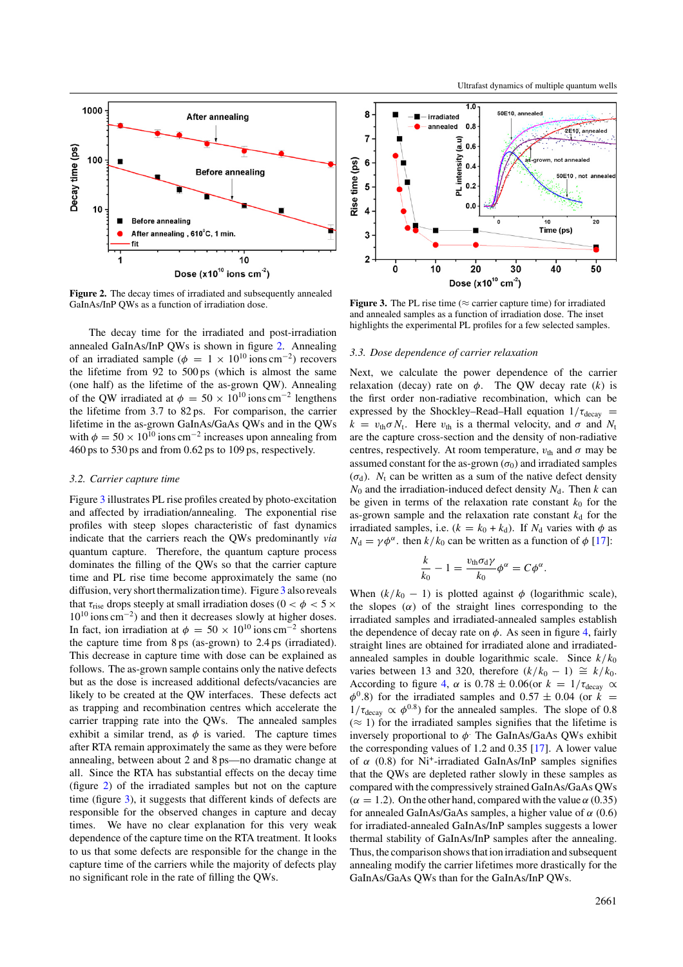

**Figure 2.** The decay times of irradiated and subsequently annealed GaInAs/InP QWs as a function of irradiation dose.

The decay time for the irradiated and post-irradiation annealed GaInAs/InP QWs is shown in figure 2. Annealing of an irradiated sample ( $\phi = 1 \times 10^{10}$  ions cm<sup>-2</sup>) recovers the lifetime from  $92$  to  $500 \text{ ps}$  (which is almost the same (one half) as the lifetime of the as-grown QW). Annealing of the QW irradiated at  $\phi = 50 \times 10^{10}$  ions cm<sup>-2</sup> lengthens the lifetime from 3.7 to 82 ps. For comparison, the carrier lifetime in the as-grown GaInAs/GaAs QWs and in the QWs with  $\phi = 50 \times 10^{10}$  ions cm<sup>-2</sup> increases upon annealing from 460 ps to 530 ps and from 0.62 ps to 109 ps, respectively.

# *3.2. Carrier capture time*

Figure 3 illustrates PL rise profiles created by photo-excitation and affected by irradiation/annealing. The exponential rise profiles with steep slopes characteristic of fast dynamics indicate that the carriers reach the QWs predominantly *via* quantum capture. Therefore, the quantum capture process dominates the filling of the QWs so that the carrier capture time and PL rise time become approximately the same (no diffusion, very short thermalization time). Figure 3 also reveals that  $\tau_{\text{rise}}$  drops steeply at small irradiation doses ( $0 < \phi < 5 \times$ 10<sup>10</sup> ions cm−2) and then it decreases slowly at higher doses. In fact, ion irradiation at  $\phi = 50 \times 10^{10}$  ions cm<sup>-2</sup> shortens the capture time from 8 ps (as-grown) to 2.4 ps (irradiated). This decrease in capture time with dose can be explained as follows. The as-grown sample contains only the native defects but as the dose is increased additional defects/vacancies are likely to be created at the QW interfaces. These defects act as trapping and recombination centres which accelerate the carrier trapping rate into the QWs. The annealed samples exhibit a similar trend, as  $\phi$  is varied. The capture times after RTA remain approximately the same as they were before annealing, between about 2 and 8 ps—no dramatic change at all. Since the RTA has substantial effects on the decay time (figure 2) of the irradiated samples but not on the capture time (figure 3), it suggests that different kinds of defects are responsible for the observed changes in capture and decay times. We have no clear explanation for this very weak dependence of the capture time on the RTA treatment. It looks to us that some defects are responsible for the change in the capture time of the carriers while the majority of defects play no significant role in the rate of filling the QWs.



**Figure 3.** The PL rise time ( $\approx$  carrier capture time) for irradiated and annealed samples as a function of irradiation dose. The inset highlights the experimental PL profiles for a few selected samples.

## *3.3. Dose dependence of carrier relaxation*

Next, we calculate the power dependence of the carrier relaxation (decay) rate on  $\phi$ . The QW decay rate (*k*) is the first order non-radiative recombination, which can be expressed by the Shockley–Read–Hall equation  $1/\tau_{\text{decay}}$  =  $k = v_{\text{th}} \sigma N_t$ . Here  $v_{\text{th}}$  is a thermal velocity, and  $\sigma$  and  $N_t$ are the capture cross-section and the density of non-radiative centres, respectively. At room temperature,  $v_{\text{th}}$  and  $\sigma$  may be assumed constant for the as-grown  $(\sigma_0)$  and irradiated samples  $(\sigma_d)$ . *N*<sub>t</sub> can be written as a sum of the native defect density  $N_0$  and the irradiation-induced defect density  $N_d$ . Then *k* can be given in terms of the relaxation rate constant  $k_0$  for the as-grown sample and the relaxation rate constant  $k_d$  for the irradiated samples, i.e.  $(k = k_0 + k_d)$ . If  $N_d$  varies with  $\phi$  as  $N_d = \gamma \phi^\alpha$ . then  $k/k_0$  can be written as a function of  $\phi$  [\[17\]](#page-4-0):

$$
\frac{k}{k_0} - 1 = \frac{v_{\text{th}} \sigma_{\text{d}} \gamma}{k_0} \phi^{\alpha} = C \phi^{\alpha}.
$$

When  $(k/k_0 - 1)$  is plotted against  $\phi$  (logarithmic scale), the slopes  $(\alpha)$  of the straight lines corresponding to the irradiated samples and irradiated-annealed samples establish the dependence of decay rate on  $\phi$ . As seen in figure [4,](#page-3-0) fairly straight lines are obtained for irradiated alone and irradiatedannealed samples in double logarithmic scale. Since  $k/k_0$ varies between 13 and 320, therefore  $(k/k_0 - 1) \cong k/k_0$ . According to figure [4,](#page-3-0)  $\alpha$  is 0.78 ± 0.06(or  $k = 1/\tau_{\text{decay}} \propto$  $\phi^{0}$ .8) for the irradiated samples and 0.57  $\pm$  0.04 (or *k* =  $1/\tau_{\text{decay}} \propto \phi^{0.8}$ ) for the annealed samples. The slope of 0.8  $(\approx 1)$  for the irradiated samples signifies that the lifetime is inversely proportional to *φ.* The GaInAs/GaAs QWs exhibit the corresponding values of 1.2 and 0.35 [\[17\]](#page-4-0). A lower value of *α* (0.8) for Ni+-irradiated GaInAs/InP samples signifies that the QWs are depleted rather slowly in these samples as compared with the compressively strained GaInAs/GaAs QWs  $(\alpha = 1.2)$ . On the other hand, compared with the value  $\alpha$  (0.35) for annealed GaInAs/GaAs samples, a higher value of *α* (0.6) for irradiated-annealed GaInAs/InP samples suggests a lower thermal stability of GaInAs/InP samples after the annealing. Thus, the comparison shows that ion irradiation and subsequent annealing modify the carrier lifetimes more drastically for the GaInAs/GaAs QWs than for the GaInAs/InP QWs.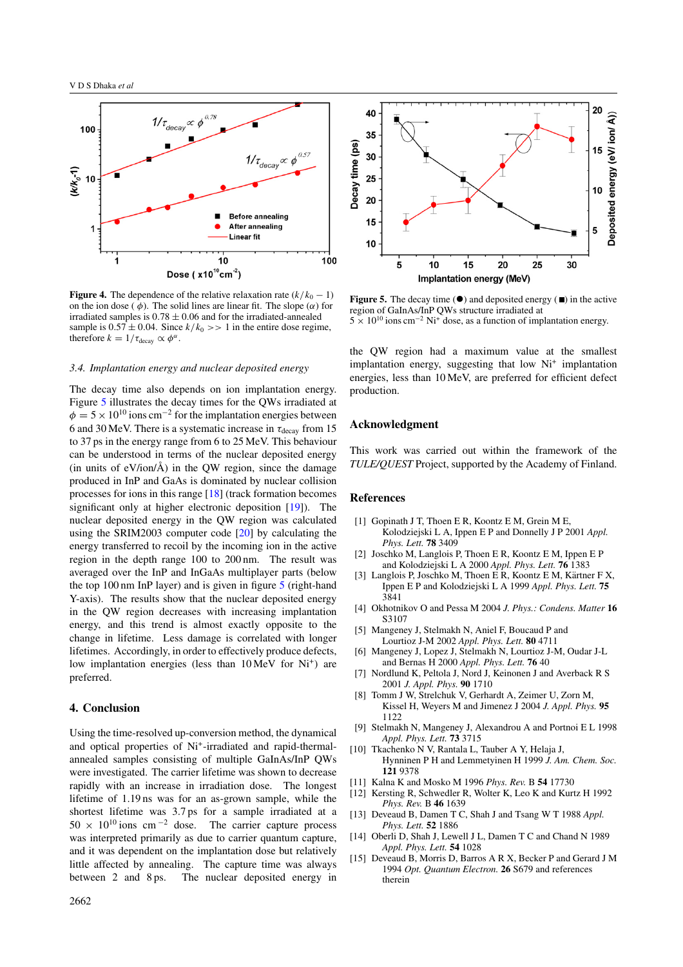<span id="page-3-0"></span>

**Figure 4.** The dependence of the relative relaxation rate  $(k/k_0 - 1)$ on the ion dose ( $\phi$ ). The solid lines are linear fit. The slope ( $\alpha$ ) for irradiated samples is 0*.*78 ± 0*.*06 and for the irradiated-annealed sample is  $0.57 \pm 0.04$ . Since  $k/k_0 \gg 1$  in the entire dose regime, therefore  $k = 1/\tau_{\text{decay}} \propto \phi^{\alpha}$ .

## *3.4. Implantation energy and nuclear deposited energy*

The decay time also depends on ion implantation energy. Figure 5 illustrates the decay times for the QWs irradiated at  $\phi$  = 5 × 10<sup>10</sup> ions cm<sup>-2</sup> for the implantation energies between 6 and 30 MeV. There is a systematic increase in *τ*decay from 15 to 37 ps in the energy range from 6 to 25 MeV. This behaviour can be understood in terms of the nuclear deposited energy (in units of  $eV/ion/\text{\AA}$ ) in the OW region, since the damage produced in InP and GaAs is dominated by nuclear collision processes for ions in this range [\[18\]](#page-4-0) (track formation becomes significant only at higher electronic deposition [\[19\]](#page-4-0)). The nuclear deposited energy in the QW region was calculated using the SRIM2003 computer code [\[20\]](#page-4-0) by calculating the energy transferred to recoil by the incoming ion in the active region in the depth range 100 to 200 nm. The result was averaged over the InP and InGaAs multiplayer parts (below the top 100 nm InP layer) and is given in figure 5 (right-hand Y-axis). The results show that the nuclear deposited energy in the QW region decreases with increasing implantation energy, and this trend is almost exactly opposite to the change in lifetime. Less damage is correlated with longer lifetimes. Accordingly, in order to effectively produce defects, low implantation energies (less than 10 MeV for Ni<sup>+</sup>) are preferred.

#### **4. Conclusion**

Using the time-resolved up-conversion method, the dynamical and optical properties of Ni<sup>+</sup>-irradiated and rapid-thermalannealed samples consisting of multiple GaInAs/InP QWs were investigated. The carrier lifetime was shown to decrease rapidly with an increase in irradiation dose. The longest lifetime of 1.19 ns was for an as-grown sample, while the shortest lifetime was 3.7 ps for a sample irradiated at a  $50 \times 10^{10}$  ions cm<sup>-2</sup> dose. The carrier capture process was interpreted primarily as due to carrier quantum capture, and it was dependent on the implantation dose but relatively little affected by annealing. The capture time was always between 2 and 8 ps. The nuclear deposited energy in



**Figure 5.** The decay time  $(\bullet)$  and deposited energy  $(\bullet)$  in the active region of GaInAs/InP QWs structure irradiated at  $5 \times 10^{10}$  ions cm<sup>-2</sup> Ni<sup>+</sup> dose, as a function of implantation energy.

the QW region had a maximum value at the smallest implantation energy, suggesting that low  $Ni<sup>+</sup>$  implantation energies, less than 10 MeV, are preferred for efficient defect production.

# **Acknowledgment**

This work was carried out within the framework of the *TULE/QUEST* Project, supported by the Academy of Finland.

## **References**

- [1] Gopinath J T, Thoen E R, Koontz E M, Grein M E, Kolodziejski L A, Ippen E P and Donnelly J P 2001 *Appl. Phys. Lett.* **78** 3409
- [2] Joschko M, Langlois P, Thoen E R, Koontz E M, Ippen E P and Kolodziejski L A 2000 *Appl. Phys. Lett.* **76** 1383
- [3] Langlois P, Joschko M, Thoen E R, Koontz E M, Kärtner F X, Ippen E P and Kolodziejski L A 1999 *Appl. Phys. Lett.* **75** 3841
- [4] Okhotnikov O and Pessa M 2004 *J. Phys.: Condens. Matter* **16** S3107
- [5] Mangeney J, Stelmakh N, Aniel F, Boucaud P and Lourtioz J-M 2002 *Appl. Phys. Lett.* **80** 4711
- [6] Mangeney J, Lopez J, Stelmakh N, Lourtioz J-M, Oudar J-L and Bernas H 2000 *Appl. Phys. Lett.* **76** 40
- [7] Nordlund K, Peltola J, Nord J, Keinonen J and Averback R S 2001 *J. Appl. Phys.* **90** 1710
- [8] Tomm J W, Strelchuk V, Gerhardt A, Zeimer U, Zorn M, Kissel H, Weyers M and Jimenez J 2004 *J. Appl. Phys.* **95** 1122
- [9] Stelmakh N, Mangeney J, Alexandrou A and Portnoi E L 1998 *Appl. Phys. Lett.* **73** 3715
- [10] Tkachenko N V, Rantala L, Tauber A Y, Helaja J, Hynninen P H and Lemmetyinen H 1999 *J. Am. Chem. Soc.* **121** 9378
- [11] Kalna K and Mosko M 1996 *Phys. Rev.* B **54** 17730
- [12] Kersting R, Schwedler R, Wolter K, Leo K and Kurtz H 1992 *Phys. Rev.* B **46** 1639
- [13] Deveaud B, Damen T C, Shah J and Tsang W T 1988 *Appl. Phys. Lett.* **52** 1886
- [14] Oberli D, Shah J, Lewell J L, Damen T C and Chand N 1989 *Appl. Phys. Lett.* **54** 1028
- [15] Deveaud B, Morris D, Barros A R X, Becker P and Gerard J M 1994 *Opt. Quantum Electron.* **26** S679 and references therein